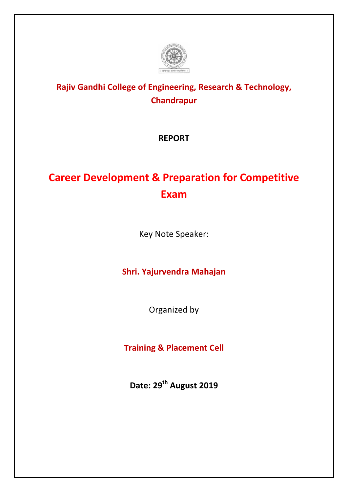

## **Rajiv Gandhi College of Engineering, Research & Technology, Chandrapur**

**REPORT**

## **Career Development & Preparation for Competitive Exam**

Key Note Speaker:

**Shri. Yajurvendra Mahajan**

Organized by

**Training & Placement Cell**

**Date: 29th August 2019**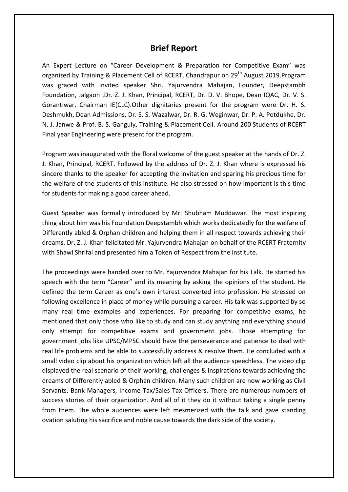## **Brief Report**

An Expert Lecture on "Career Development & Preparation for Competitive Exam" was organized by Training & Placement Cell of RCERT, Chandrapur on 29<sup>th</sup> August 2019. Program was graced with invited speaker Shri. Yajurvendra Mahajan, Founder, Deepstambh Foundation, Jalgaon ,Dr. Z. J. Khan, Principal, RCERT, Dr. D. V. Bhope, Dean IQAC, Dr. V. S. Gorantiwar, Chairman IE(CLC).Other dignitaries present for the program were Dr. H. S. Deshmukh, Dean Admissions, Dr. S. S. Wazalwar, Dr. R. G. Weginwar, Dr. P. A. Potdukhe, Dr. N. J. Janwe & Prof. B. S. Ganguly, Training & Placement Cell. Around 200 Students of RCERT Final year Engineering were present for the program.

Program was inaugurated with the floral welcome of the guest speaker at the hands of Dr. Z. J. Khan, Principal, RCERT. Followed by the address of Dr. Z. J. Khan where is expressed his sincere thanks to the speaker for accepting the invitation and sparing his precious time for the welfare of the students of this institute. He also stressed on how important is this time for students for making a good career ahead.

Guest Speaker was formally introduced by Mr. Shubham Muddawar. The most inspiring thing about him was his Foundation Deepstambh which works dedicatedly for the welfare of Differently abled & Orphan children and helping them in all respect towards achieving their dreams. Dr. Z. J. Khan felicitated Mr. Yajurvendra Mahajan on behalf of the RCERT Fraternity with Shawl Shrifal and presented him a Token of Respect from the institute.

The proceedings were handed over to Mr. Yajurvendra Mahajan for his Talk. He started his speech with the term "Career" and its meaning by asking the opinions of the student. He defined the term Career as one's own interest converted into profession. He stressed on following excellence in place of money while pursuing a career. His talk was supported by so many real time examples and experiences. For preparing for competitive exams, he mentioned that only those who like to study and can study anything and everything should only attempt for competitive exams and government jobs. Those attempting for government jobs like UPSC/MPSC should have the perseverance and patience to deal with real life problems and be able to successfully address & resolve them. He concluded with a small video clip about his organization which left all the audience speechless. The video clip displayed the real scenario of their working, challenges & inspirations towards achieving the dreams of Differently abled & Orphan children. Many such children are now working as Civil Servants, Bank Managers, Income Tax/Sales Tax Officers. There are numerous numbers of success stories of their organization. And all of it they do it without taking a single penny from them. The whole audiences were left mesmerized with the talk and gave standing ovation saluting his sacrifice and noble cause towards the dark side of the society.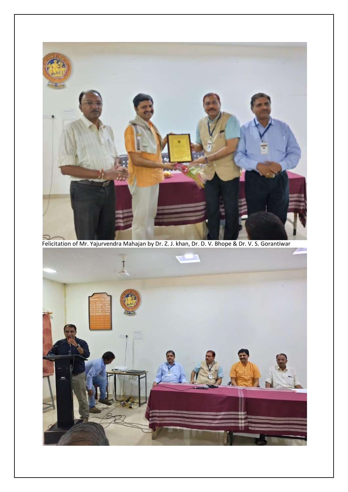